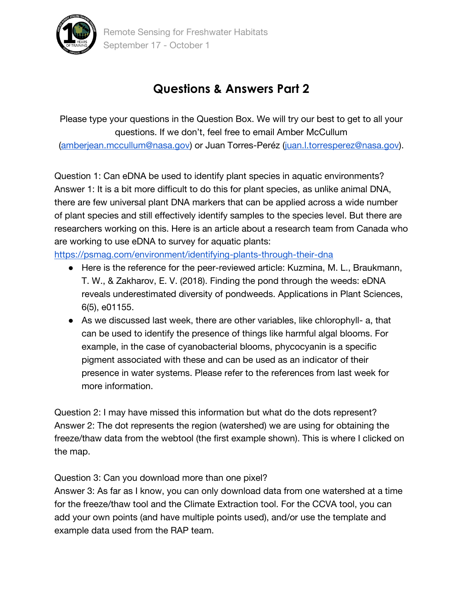

## **Questions & Answers Part 2**

Please type your questions in the Question Box. We will try our best to get to all your questions. If we don't, feel free to email Amber McCullum [\(amberjean.mccullum@nasa.gov\)](mailto:amberjean.mccullum@nasa.gov) or Juan Torres-Peréz [\(juan.l.torresperez@nasa.gov\)](mailto:juan.l.torresperez@nasa.gov).

Question 1: Can eDNA be used to identify plant species in aquatic environments? Answer 1: It is a bit more difficult to do this for plant species, as unlike animal DNA, there are few universal plant DNA markers that can be applied across a wide number of plant species and still effectively identify samples to the species level. But there are researchers working on this. Here is an article about a research team from Canada who are working to use eDNA to survey for aquatic plants:

<https://psmag.com/environment/identifying-plants-through-their-dna>

- Here is the reference for the peer-reviewed article: Kuzmina, M. L., Braukmann, T. W., & Zakharov, E. V. (2018). Finding the pond through the weeds: eDNA reveals underestimated diversity of pondweeds. Applications in Plant Sciences, 6(5), e01155.
- As we discussed last week, there are other variables, like chlorophyll- a, that can be used to identify the presence of things like harmful algal blooms. For example, in the case of cyanobacterial blooms, phycocyanin is a specific pigment associated with these and can be used as an indicator of their presence in water systems. Please refer to the references from last week for more information.

Question 2: I may have missed this information but what do the dots represent? Answer 2: The dot represents the region (watershed) we are using for obtaining the freeze/thaw data from the webtool (the first example shown). This is where I clicked on the map.

Question 3: Can you download more than one pixel?

Answer 3: As far as I know, you can only download data from one watershed at a time for the freeze/thaw tool and the Climate Extraction tool. For the CCVA tool, you can add your own points (and have multiple points used), and/or use the template and example data used from the RAP team.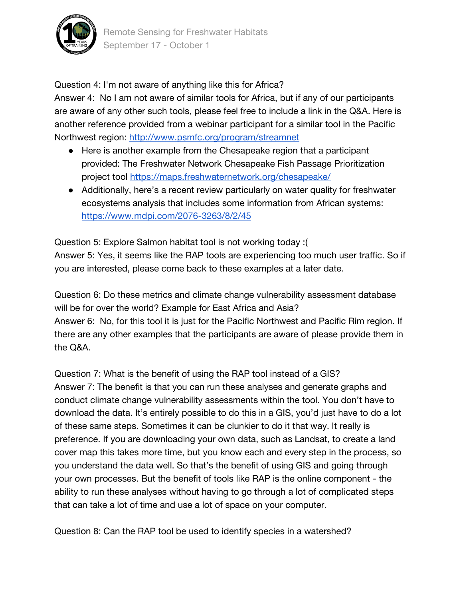

Question 4: I'm not aware of anything like this for Africa?

Answer 4: No I am not aware of similar tools for Africa, but if any of our participants are aware of any other such tools, please feel free to include a link in the Q&A. Here is another reference provided from a webinar participant for a similar tool in the Pacific Northwest region:<http://www.psmfc.org/program/streamnet>

- Here is another example from the Chesapeake region that a participant provided: The Freshwater Network Chesapeake Fish Passage Prioritization project tool<https://maps.freshwaternetwork.org/chesapeake/>
- Additionally, here's a recent review particularly on water quality for freshwater ecosystems analysis that includes some information from African systems: <https://www.mdpi.com/2076-3263/8/2/45>

Question 5: Explore Salmon habitat tool is not working today :( Answer 5: Yes, it seems like the RAP tools are experiencing too much user traffic. So if you are interested, please come back to these examples at a later date.

Question 6: Do these metrics and climate change vulnerability assessment database will be for over the world? Example for East Africa and Asia? Answer 6: No, for this tool it is just for the Pacific Northwest and Pacific Rim region. If there are any other examples that the participants are aware of please provide them in the Q&A.

Question 7: What is the benefit of using the RAP tool instead of a GIS? Answer 7: The benefit is that you can run these analyses and generate graphs and conduct climate change vulnerability assessments within the tool. You don't have to download the data. It's entirely possible to do this in a GIS, you'd just have to do a lot of these same steps. Sometimes it can be clunkier to do it that way. It really is preference. If you are downloading your own data, such as Landsat, to create a land cover map this takes more time, but you know each and every step in the process, so you understand the data well. So that's the benefit of using GIS and going through your own processes. But the benefit of tools like RAP is the online component - the ability to run these analyses without having to go through a lot of complicated steps that can take a lot of time and use a lot of space on your computer.

Question 8: Can the RAP tool be used to identify species in a watershed?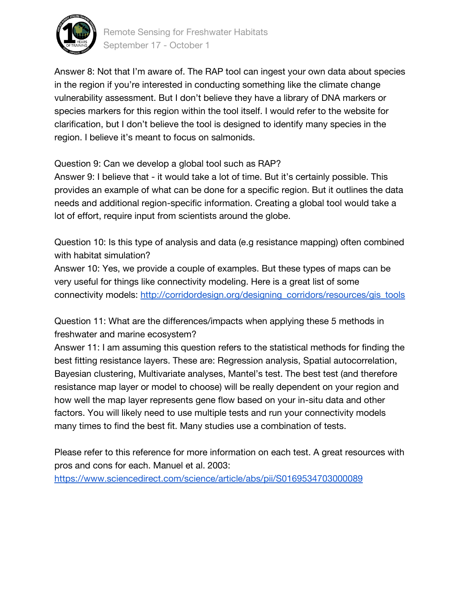

Answer 8: Not that I'm aware of. The RAP tool can ingest your own data about species in the region if you're interested in conducting something like the climate change vulnerability assessment. But I don't believe they have a library of DNA markers or species markers for this region within the tool itself. I would refer to the website for clarification, but I don't believe the tool is designed to identify many species in the region. I believe it's meant to focus on salmonids.

Question 9: Can we develop a global tool such as RAP?

Answer 9: I believe that - it would take a lot of time. But it's certainly possible. This provides an example of what can be done for a specific region. But it outlines the data needs and additional region-specific information. Creating a global tool would take a lot of effort, require input from scientists around the globe.

Question 10: Is this type of analysis and data (e.g resistance mapping) often combined with habitat simulation?

Answer 10: Yes, we provide a couple of examples. But these types of maps can be very useful for things like connectivity modeling. Here is a great list of some connectivity models: [http://corridordesign.org/designing\\_corridors/resources/gis\\_tools](http://corridordesign.org/designing_corridors/resources/gis_tools)

Question 11: What are the differences/impacts when applying these 5 methods in freshwater and marine ecosystem?

Answer 11: I am assuming this question refers to the statistical methods for finding the best fitting resistance layers. These are: Regression analysis, Spatial autocorrelation, Bayesian clustering, Multivariate analyses, Mantel's test. The best test (and therefore resistance map layer or model to choose) will be really dependent on your region and how well the map layer represents gene flow based on your in-situ data and other factors. You will likely need to use multiple tests and run your connectivity models many times to find the best fit. Many studies use a combination of tests.

Please refer to this reference for more information on each test. A great resources with pros and cons for each. Manuel et al. 2003:

<https://www.sciencedirect.com/science/article/abs/pii/S0169534703000089>